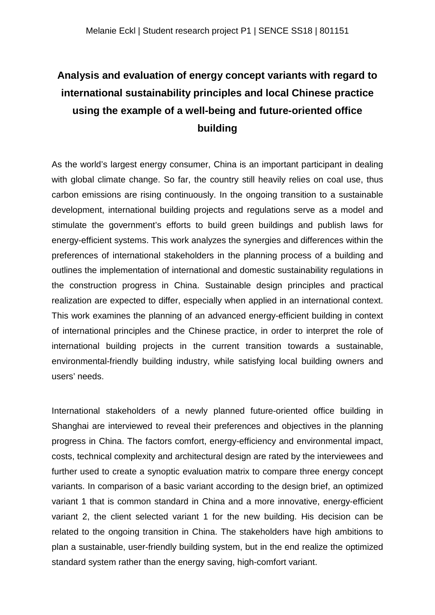## **Analysis and evaluation of energy concept variants with regard to international sustainability principles and local Chinese practice using the example of a well-being and future-oriented office building**

As the world's largest energy consumer, China is an important participant in dealing with global climate change. So far, the country still heavily relies on coal use, thus carbon emissions are rising continuously. In the ongoing transition to a sustainable development, international building projects and regulations serve as a model and stimulate the government's efforts to build green buildings and publish laws for energy-efficient systems. This work analyzes the synergies and differences within the preferences of international stakeholders in the planning process of a building and outlines the implementation of international and domestic sustainability regulations in the construction progress in China. Sustainable design principles and practical realization are expected to differ, especially when applied in an international context. This work examines the planning of an advanced energy-efficient building in context of international principles and the Chinese practice, in order to interpret the role of international building projects in the current transition towards a sustainable, environmental-friendly building industry, while satisfying local building owners and users' needs.

International stakeholders of a newly planned future-oriented office building in Shanghai are interviewed to reveal their preferences and objectives in the planning progress in China. The factors comfort, energy-efficiency and environmental impact, costs, technical complexity and architectural design are rated by the interviewees and further used to create a synoptic evaluation matrix to compare three energy concept variants. In comparison of a basic variant according to the design brief, an optimized variant 1 that is common standard in China and a more innovative, energy-efficient variant 2, the client selected variant 1 for the new building. His decision can be related to the ongoing transition in China. The stakeholders have high ambitions to plan a sustainable, user-friendly building system, but in the end realize the optimized standard system rather than the energy saving, high-comfort variant.